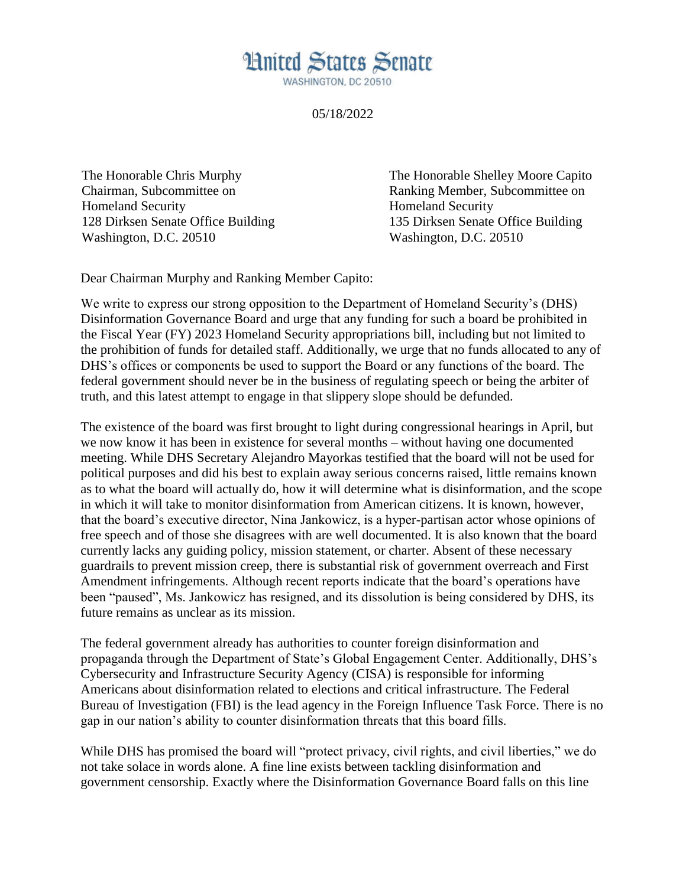## **Hnited States Senate**

WASHINGTON, DC 20510

## 05/18/2022

The Honorable Chris Murphy Chairman, Subcommittee on Homeland Security 128 Dirksen Senate Office Building Washington, D.C. 20510

The Honorable Shelley Moore Capito Ranking Member, Subcommittee on Homeland Security 135 Dirksen Senate Office Building Washington, D.C. 20510

Dear Chairman Murphy and Ranking Member Capito:

We write to express our strong opposition to the Department of Homeland Security's (DHS) Disinformation Governance Board and urge that any funding for such a board be prohibited in the Fiscal Year (FY) 2023 Homeland Security appropriations bill, including but not limited to the prohibition of funds for detailed staff. Additionally, we urge that no funds allocated to any of DHS's offices or components be used to support the Board or any functions of the board. The federal government should never be in the business of regulating speech or being the arbiter of truth, and this latest attempt to engage in that slippery slope should be defunded.

The existence of the board was first brought to light during congressional hearings in April, but we now know it has been in existence for several months – without having one documented meeting. While DHS Secretary Alejandro Mayorkas testified that the board will not be used for political purposes and did his best to explain away serious concerns raised, little remains known as to what the board will actually do, how it will determine what is disinformation, and the scope in which it will take to monitor disinformation from American citizens. It is known, however, that the board's executive director, Nina Jankowicz, is a hyper-partisan actor whose opinions of free speech and of those she disagrees with are well documented. It is also known that the board currently lacks any guiding policy, mission statement, or charter. Absent of these necessary guardrails to prevent mission creep, there is substantial risk of government overreach and First Amendment infringements. Although recent reports indicate that the board's operations have been "paused", Ms. Jankowicz has resigned, and its dissolution is being considered by DHS, its future remains as unclear as its mission.

The federal government already has authorities to counter foreign disinformation and propaganda through the Department of State's Global Engagement Center. Additionally, DHS's Cybersecurity and Infrastructure Security Agency (CISA) is responsible for informing Americans about disinformation related to elections and critical infrastructure. The Federal Bureau of Investigation (FBI) is the lead agency in the Foreign Influence Task Force. There is no gap in our nation's ability to counter disinformation threats that this board fills.

While DHS has promised the board will "protect privacy, civil rights, and civil liberties," we do not take solace in words alone. A fine line exists between tackling disinformation and government censorship. Exactly where the Disinformation Governance Board falls on this line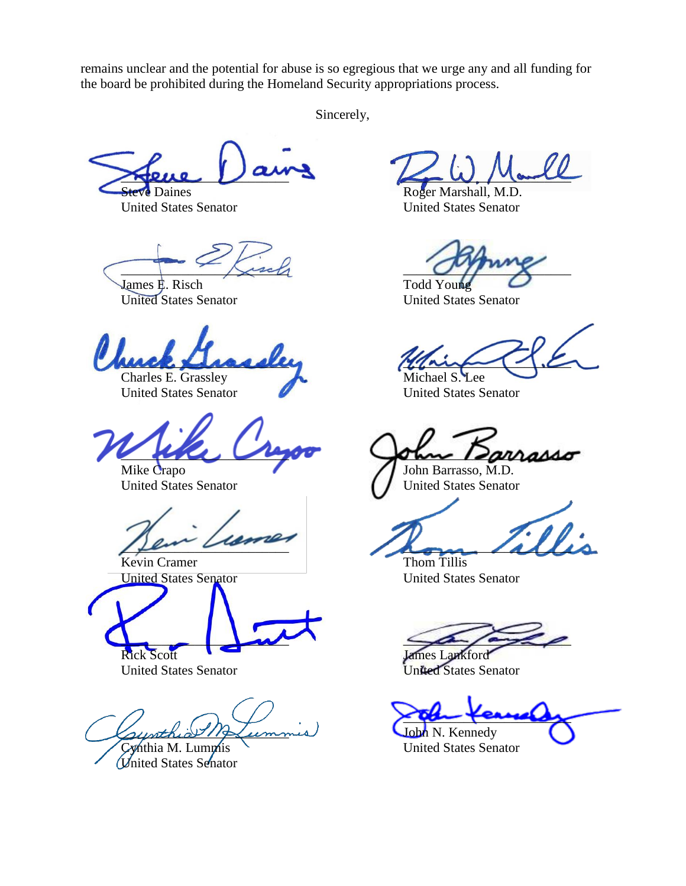remains unclear and the potential for abuse is so egregious that we urge any and all funding for the board be prohibited during the Homeland Security appropriations process.

Sincerely,

\_\_\_\_\_\_\_\_\_\_\_\_\_\_\_\_\_\_\_\_\_\_\_\_\_ **Steve Daines** 

United States Senator

 $\overline{\phantom{a}}$ 

James E. Risch United States Senator

uick Lissell

Charles E. Grassley United States Senator

 $\sim$ 

Mike Crapo United States Senator

 $\mu$ 

Kevin Cramer United States Senator

 $\Box$ 

Rick Scott United States Senator

sunthia Merium

Cynthia M. Lummis United States Senator

 $\swarrow$  W. March

Roger Marshall, M.D. United States Senator

 $O(f)$ 

Todd Young United States Senator

 $\frac{1}{2}$ 

Michael S. Lee United States Senator

 $max$ 

John Barrasso, M.D. United States Senator

 $\mathcal{L}_{\mathcal{D}}$ 

Thom Tillis United States Senator

 $\leq$ 

James Lankford United States Senator

aber terrely

John N. Kennedy United States Senator